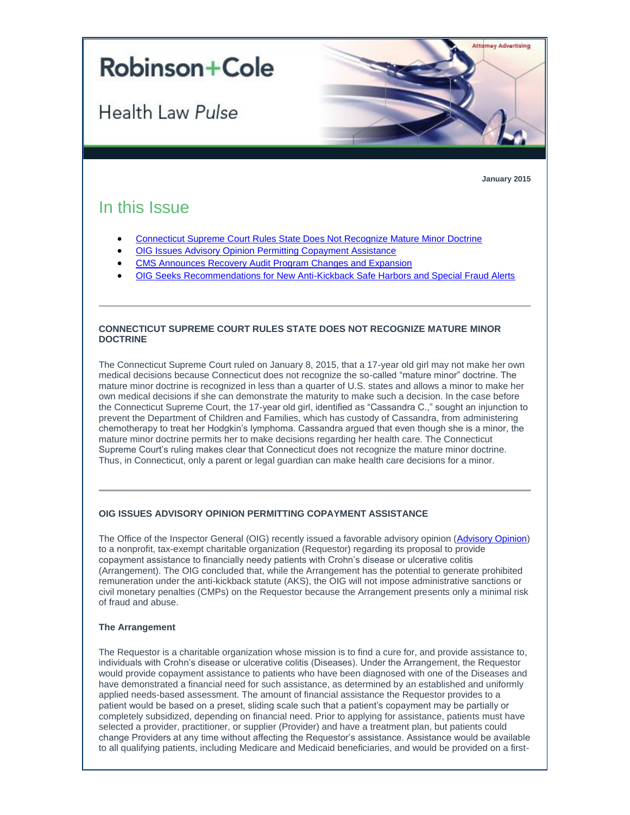# **Robinson+Cole**

**Health Law Pulse** 

**January 2015**

**Attorney Advertising** 

# In this Issue

- [Connecticut Supreme Court Rules State Does Not Recognize Mature Minor Doctrine](#page-0-0)
- [OIG Issues Advisory Opinion Permitting Copayment Assistance](#page-0-1)
- [CMS Announces Recovery Audit Program Changes and Expansion](#page-2-0)
- [OIG Seeks Recommendations for New Anti-Kickback Safe Harbors and Special Fraud Alerts](#page-2-1)

# <span id="page-0-0"></span>**CONNECTICUT SUPREME COURT RULES STATE DOES NOT RECOGNIZE MATURE MINOR DOCTRINE**

The Connecticut Supreme Court ruled on January 8, 2015, that a 17-year old girl may not make her own medical decisions because Connecticut does not recognize the so-called "mature minor" doctrine. The mature minor doctrine is recognized in less than a quarter of U.S. states and allows a minor to make her own medical decisions if she can demonstrate the maturity to make such a decision. In the case before the Connecticut Supreme Court, the 17-year old girl, identified as "Cassandra C.," sought an injunction to prevent the Department of Children and Families, which has custody of Cassandra, from administering chemotherapy to treat her Hodgkin's lymphoma. Cassandra argued that even though she is a minor, the mature minor doctrine permits her to make decisions regarding her health care. The Connecticut Supreme Court's ruling makes clear that Connecticut does not recognize the mature minor doctrine. Thus, in Connecticut, only a parent or legal guardian can make health care decisions for a minor.

# <span id="page-0-1"></span>**OIG ISSUES ADVISORY OPINION PERMITTING COPAYMENT ASSISTANCE**

The Office of the Inspector General (OIG) recently issued a favorable advisory opinion [\(Advisory Opinion\)](http://t2806904.omkt.co/track.aspx?id=402|2AD478|6F10|19C|919|0|853|1|70150BE2&destination=http%3a%2f%2foig.hhs.gov%2ffraud%2fdocs%2fadvisoryopinions%2f2014%2fAdvOpn14-11.pdf&dchk=6B29BC63) to a nonprofit, tax-exempt charitable organization (Requestor) regarding its proposal to provide copayment assistance to financially needy patients with Crohn's disease or ulcerative colitis (Arrangement). The OIG concluded that, while the Arrangement has the potential to generate prohibited remuneration under the anti-kickback statute (AKS), the OIG will not impose administrative sanctions or civil monetary penalties (CMPs) on the Requestor because the Arrangement presents only a minimal risk of fraud and abuse.

# **The Arrangement**

The Requestor is a charitable organization whose mission is to find a cure for, and provide assistance to, individuals with Crohn's disease or ulcerative colitis (Diseases). Under the Arrangement, the Requestor would provide copayment assistance to patients who have been diagnosed with one of the Diseases and have demonstrated a financial need for such assistance, as determined by an established and uniformly applied needs-based assessment. The amount of financial assistance the Requestor provides to a patient would be based on a preset, sliding scale such that a patient's copayment may be partially or completely subsidized, depending on financial need. Prior to applying for assistance, patients must have selected a provider, practitioner, or supplier (Provider) and have a treatment plan, but patients could change Providers at any time without affecting the Requestor's assistance. Assistance would be available to all qualifying patients, including Medicare and Medicaid beneficiaries, and would be provided on a first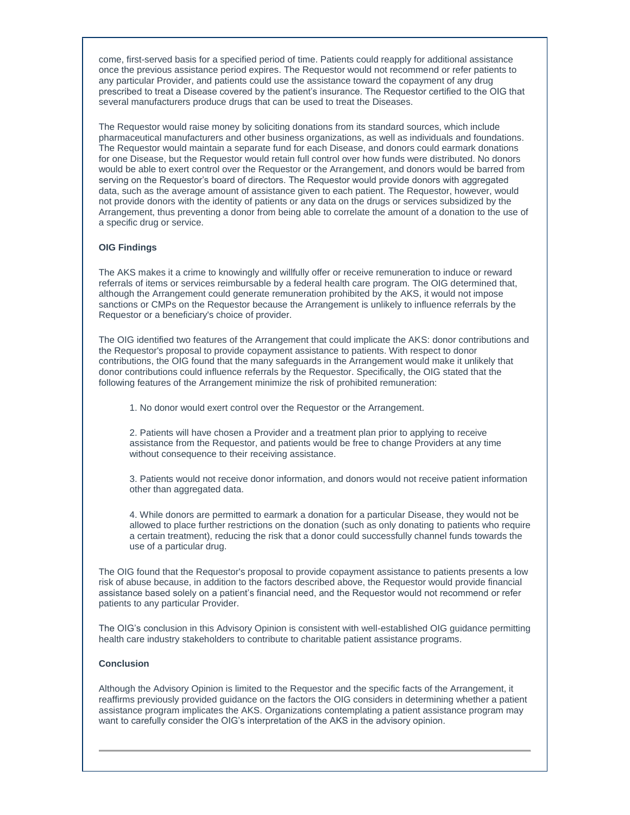come, first-served basis for a specified period of time. Patients could reapply for additional assistance once the previous assistance period expires. The Requestor would not recommend or refer patients to any particular Provider, and patients could use the assistance toward the copayment of any drug prescribed to treat a Disease covered by the patient's insurance. The Requestor certified to the OIG that several manufacturers produce drugs that can be used to treat the Diseases.

The Requestor would raise money by soliciting donations from its standard sources, which include pharmaceutical manufacturers and other business organizations, as well as individuals and foundations. The Requestor would maintain a separate fund for each Disease, and donors could earmark donations for one Disease, but the Requestor would retain full control over how funds were distributed. No donors would be able to exert control over the Requestor or the Arrangement, and donors would be barred from serving on the Requestor's board of directors. The Requestor would provide donors with aggregated data, such as the average amount of assistance given to each patient. The Requestor, however, would not provide donors with the identity of patients or any data on the drugs or services subsidized by the Arrangement, thus preventing a donor from being able to correlate the amount of a donation to the use of a specific drug or service.

# **OIG Findings**

The AKS makes it a crime to knowingly and willfully offer or receive remuneration to induce or reward referrals of items or services reimbursable by a federal health care program. The OIG determined that, although the Arrangement could generate remuneration prohibited by the AKS, it would not impose sanctions or CMPs on the Requestor because the Arrangement is unlikely to influence referrals by the Requestor or a beneficiary's choice of provider.

The OIG identified two features of the Arrangement that could implicate the AKS: donor contributions and the Requestor's proposal to provide copayment assistance to patients. With respect to donor contributions, the OIG found that the many safeguards in the Arrangement would make it unlikely that donor contributions could influence referrals by the Requestor. Specifically, the OIG stated that the following features of the Arrangement minimize the risk of prohibited remuneration:

1. No donor would exert control over the Requestor or the Arrangement.

2. Patients will have chosen a Provider and a treatment plan prior to applying to receive assistance from the Requestor, and patients would be free to change Providers at any time without consequence to their receiving assistance.

3. Patients would not receive donor information, and donors would not receive patient information other than aggregated data.

4. While donors are permitted to earmark a donation for a particular Disease, they would not be allowed to place further restrictions on the donation (such as only donating to patients who require a certain treatment), reducing the risk that a donor could successfully channel funds towards the use of a particular drug.

The OIG found that the Requestor's proposal to provide copayment assistance to patients presents a low risk of abuse because, in addition to the factors described above, the Requestor would provide financial assistance based solely on a patient's financial need, and the Requestor would not recommend or refer patients to any particular Provider.

The OIG's conclusion in this Advisory Opinion is consistent with well-established OIG guidance permitting health care industry stakeholders to contribute to charitable patient assistance programs.

#### **Conclusion**

Although the Advisory Opinion is limited to the Requestor and the specific facts of the Arrangement, it reaffirms previously provided guidance on the factors the OIG considers in determining whether a patient assistance program implicates the AKS. Organizations contemplating a patient assistance program may want to carefully consider the OIG's interpretation of the AKS in the advisory opinion.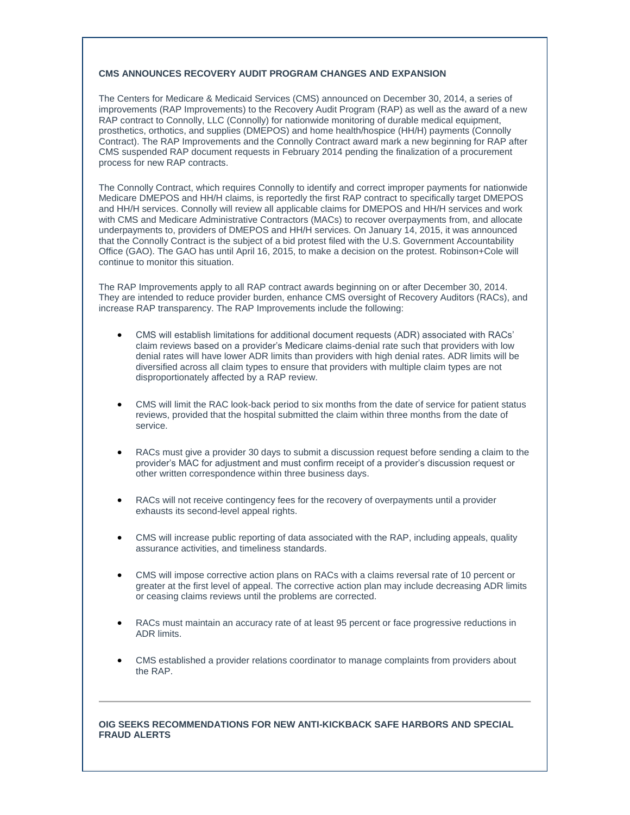# <span id="page-2-0"></span>**CMS ANNOUNCES RECOVERY AUDIT PROGRAM CHANGES AND EXPANSION**

The Centers for Medicare & Medicaid Services (CMS) announced on December 30, 2014, a series of improvements (RAP Improvements) to the Recovery Audit Program (RAP) as well as the award of a new RAP contract to Connolly, LLC (Connolly) for nationwide monitoring of durable medical equipment, prosthetics, orthotics, and supplies (DMEPOS) and home health/hospice (HH/H) payments (Connolly Contract). The RAP Improvements and the Connolly Contract award mark a new beginning for RAP after CMS suspended RAP document requests in February 2014 pending the finalization of a procurement process for new RAP contracts.

The Connolly Contract, which requires Connolly to identify and correct improper payments for nationwide Medicare DMEPOS and HH/H claims, is reportedly the first RAP contract to specifically target DMEPOS and HH/H services. Connolly will review all applicable claims for DMEPOS and HH/H services and work with CMS and Medicare Administrative Contractors (MACs) to recover overpayments from, and allocate underpayments to, providers of DMEPOS and HH/H services. On January 14, 2015, it was announced that the Connolly Contract is the subject of a bid protest filed with the U.S. Government Accountability Office (GAO). The GAO has until April 16, 2015, to make a decision on the protest. Robinson+Cole will continue to monitor this situation.

The RAP Improvements apply to all RAP contract awards beginning on or after December 30, 2014. They are intended to reduce provider burden, enhance CMS oversight of Recovery Auditors (RACs), and increase RAP transparency. The RAP Improvements include the following:

- CMS will establish limitations for additional document requests (ADR) associated with RACs' claim reviews based on a provider's Medicare claims-denial rate such that providers with low denial rates will have lower ADR limits than providers with high denial rates. ADR limits will be diversified across all claim types to ensure that providers with multiple claim types are not disproportionately affected by a RAP review.
- CMS will limit the RAC look-back period to six months from the date of service for patient status reviews, provided that the hospital submitted the claim within three months from the date of service.
- RACs must give a provider 30 days to submit a discussion request before sending a claim to the provider's MAC for adjustment and must confirm receipt of a provider's discussion request or other written correspondence within three business days.
- RACs will not receive contingency fees for the recovery of overpayments until a provider exhausts its second-level appeal rights.
- CMS will increase public reporting of data associated with the RAP, including appeals, quality assurance activities, and timeliness standards.
- CMS will impose corrective action plans on RACs with a claims reversal rate of 10 percent or greater at the first level of appeal. The corrective action plan may include decreasing ADR limits or ceasing claims reviews until the problems are corrected.
- RACs must maintain an accuracy rate of at least 95 percent or face progressive reductions in ADR limits.
- CMS established a provider relations coordinator to manage complaints from providers about the RAP.

# <span id="page-2-1"></span>**OIG SEEKS RECOMMENDATIONS FOR NEW ANTI-KICKBACK SAFE HARBORS AND SPECIAL FRAUD ALERTS**